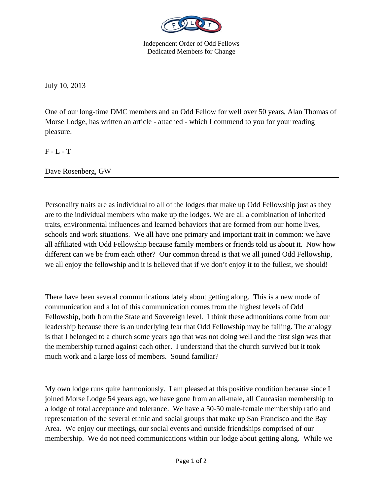

Independent Order of Odd Fellows Dedicated Members for Change

July 10, 2013

One of our long-time DMC members and an Odd Fellow for well over 50 years, Alan Thomas of Morse Lodge, has written an article - attached - which I commend to you for your reading pleasure.

F - L - T

Dave Rosenberg, GW

Personality traits are as individual to all of the lodges that make up Odd Fellowship just as they are to the individual members who make up the lodges. We are all a combination of inherited traits, environmental influences and learned behaviors that are formed from our home lives, schools and work situations. We all have one primary and important trait in common: we have all affiliated with Odd Fellowship because family members or friends told us about it. Now how different can we be from each other? Our common thread is that we all joined Odd Fellowship, we all enjoy the fellowship and it is believed that if we don't enjoy it to the fullest, we should!

There have been several communications lately about getting along. This is a new mode of communication and a lot of this communication comes from the highest levels of Odd Fellowship, both from the State and Sovereign level. I think these admonitions come from our leadership because there is an underlying fear that Odd Fellowship may be failing. The analogy is that I belonged to a church some years ago that was not doing well and the first sign was that the membership turned against each other. I understand that the church survived but it took much work and a large loss of members. Sound familiar?

My own lodge runs quite harmoniously. I am pleased at this positive condition because since I joined Morse Lodge 54 years ago, we have gone from an all-male, all Caucasian membership to a lodge of total acceptance and tolerance. We have a 50-50 male-female membership ratio and representation of the several ethnic and social groups that make up San Francisco and the Bay Area. We enjoy our meetings, our social events and outside friendships comprised of our membership. We do not need communications within our lodge about getting along. While we